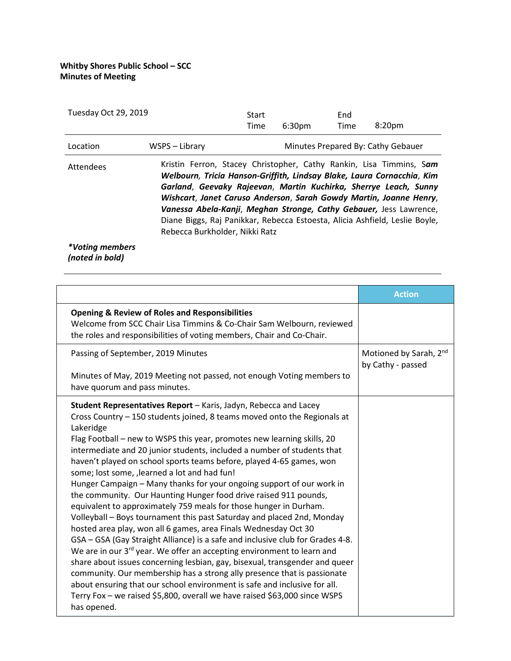| Tuesday Oct 29, 2019   |                                                                                                                                                                                                                                                                                                                                                                                                                                                                                | Start<br>Time | 6:30 <sub>pm</sub> | End<br>Time | 8:20 <sub>pm</sub>                 |
|------------------------|--------------------------------------------------------------------------------------------------------------------------------------------------------------------------------------------------------------------------------------------------------------------------------------------------------------------------------------------------------------------------------------------------------------------------------------------------------------------------------|---------------|--------------------|-------------|------------------------------------|
| Location               | WSPS - Library                                                                                                                                                                                                                                                                                                                                                                                                                                                                 |               |                    |             | Minutes Prepared By: Cathy Gebauer |
| Attendees              | Kristin Ferron, Stacey Christopher, Cathy Rankin, Lisa Timmins, Sam<br>Welbourn, Tricia Hanson-Griffith, Lindsay Blake, Laura Cornacchia, Kim<br>Garland, Geevaky Rajeevan, Martin Kuchirka, Sherrye Leach, Sunny<br>Wishcart, Janet Caruso Anderson, Sarah Gowdy Martin, Joanne Henry,<br>Vanessa Abela-Kanji, Meghan Stronge, Cathy Gebauer, Jess Lawrence,<br>Diane Biggs, Raj Panikkar, Rebecca Estoesta, Alicia Ashfield, Leslie Boyle,<br>Rebecca Burkholder, Nikki Ratz |               |                    |             |                                    |
| <i>*Voting members</i> |                                                                                                                                                                                                                                                                                                                                                                                                                                                                                |               |                    |             |                                    |

*(noted in bold)* 

|                                                                                                                                                                                                                                                                                                                                                                                                                                                                                                                                                                                                                                                                                                                                                                                                                                                                                                                                                                                                                                                                                                                                                                                                                                                                                                                    | <b>Action</b>                                           |
|--------------------------------------------------------------------------------------------------------------------------------------------------------------------------------------------------------------------------------------------------------------------------------------------------------------------------------------------------------------------------------------------------------------------------------------------------------------------------------------------------------------------------------------------------------------------------------------------------------------------------------------------------------------------------------------------------------------------------------------------------------------------------------------------------------------------------------------------------------------------------------------------------------------------------------------------------------------------------------------------------------------------------------------------------------------------------------------------------------------------------------------------------------------------------------------------------------------------------------------------------------------------------------------------------------------------|---------------------------------------------------------|
| <b>Opening &amp; Review of Roles and Responsibilities</b><br>Welcome from SCC Chair Lisa Timmins & Co-Chair Sam Welbourn, reviewed<br>the roles and responsibilities of voting members, Chair and Co-Chair.                                                                                                                                                                                                                                                                                                                                                                                                                                                                                                                                                                                                                                                                                                                                                                                                                                                                                                                                                                                                                                                                                                        |                                                         |
| Passing of September, 2019 Minutes<br>Minutes of May, 2019 Meeting not passed, not enough Voting members to<br>have quorum and pass minutes.                                                                                                                                                                                                                                                                                                                                                                                                                                                                                                                                                                                                                                                                                                                                                                                                                                                                                                                                                                                                                                                                                                                                                                       | Motioned by Sarah, 2 <sup>nd</sup><br>by Cathy - passed |
| Student Representatives Report - Karis, Jadyn, Rebecca and Lacey<br>Cross Country – 150 students joined, 8 teams moved onto the Regionals at<br>Lakeridge<br>Flag Football - new to WSPS this year, promotes new learning skills, 20<br>intermediate and 20 junior students, included a number of students that<br>haven't played on school sports teams before, played 4-65 games, won<br>some; lost some, , learned a lot and had fun!<br>Hunger Campaign – Many thanks for your ongoing support of our work in<br>the community. Our Haunting Hunger food drive raised 911 pounds,<br>equivalent to approximately 759 meals for those hunger in Durham.<br>Volleyball - Boys tournament this past Saturday and placed 2nd, Monday<br>hosted area play, won all 6 games, area Finals Wednesday Oct 30<br>GSA – GSA (Gay Straight Alliance) is a safe and inclusive club for Grades 4-8.<br>We are in our 3 <sup>rd</sup> year. We offer an accepting environment to learn and<br>share about issues concerning lesbian, gay, bisexual, transgender and queer<br>community. Our membership has a strong ally presence that is passionate<br>about ensuring that our school environment is safe and inclusive for all.<br>Terry Fox - we raised \$5,800, overall we have raised \$63,000 since WSPS<br>has opened. |                                                         |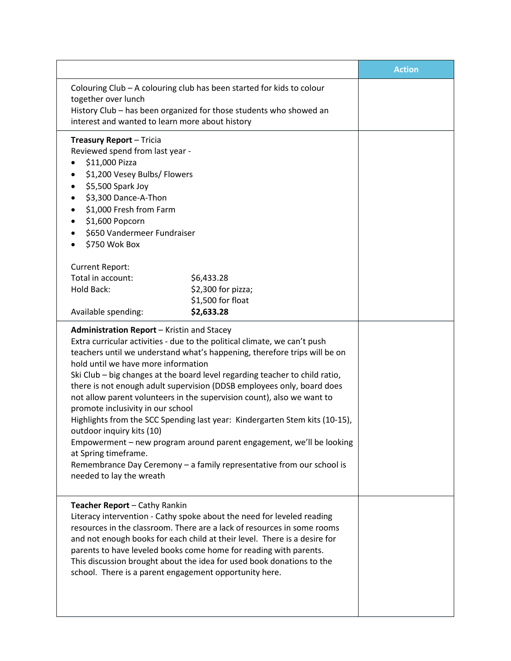|                                                                                                                                                                                                                                                                                                                                                                                                                                                                                                                                                                                                                                                                                                                                                                                                                                      |                                  | <b>Action</b> |
|--------------------------------------------------------------------------------------------------------------------------------------------------------------------------------------------------------------------------------------------------------------------------------------------------------------------------------------------------------------------------------------------------------------------------------------------------------------------------------------------------------------------------------------------------------------------------------------------------------------------------------------------------------------------------------------------------------------------------------------------------------------------------------------------------------------------------------------|----------------------------------|---------------|
| Colouring Club - A colouring club has been started for kids to colour<br>together over lunch<br>History Club - has been organized for those students who showed an<br>interest and wanted to learn more about history                                                                                                                                                                                                                                                                                                                                                                                                                                                                                                                                                                                                                |                                  |               |
| <b>Treasury Report - Tricia</b><br>Reviewed spend from last year -<br>\$11,000 Pizza<br>\$1,200 Vesey Bulbs/ Flowers<br>٠<br>\$5,500 Spark Joy<br>\$3,300 Dance-A-Thon<br>٠<br>\$1,000 Fresh from Farm<br>٠<br>\$1,600 Popcorn<br>\$650 Vandermeer Fundraiser<br>٠<br>\$750 Wok Box<br><b>Current Report:</b><br>Total in account:<br><b>Hold Back:</b>                                                                                                                                                                                                                                                                                                                                                                                                                                                                              | \$6,433.28<br>\$2,300 for pizza; |               |
| Available spending:                                                                                                                                                                                                                                                                                                                                                                                                                                                                                                                                                                                                                                                                                                                                                                                                                  | \$1,500 for float<br>\$2,633.28  |               |
| Administration Report - Kristin and Stacey<br>Extra curricular activities - due to the political climate, we can't push<br>teachers until we understand what's happening, therefore trips will be on<br>hold until we have more information<br>Ski Club - big changes at the board level regarding teacher to child ratio,<br>there is not enough adult supervision (DDSB employees only, board does<br>not allow parent volunteers in the supervision count), also we want to<br>promote inclusivity in our school<br>Highlights from the SCC Spending last year: Kindergarten Stem kits (10-15),<br>outdoor inquiry kits (10)<br>Empowerment - new program around parent engagement, we'll be looking<br>at Spring timeframe.<br>Remembrance Day Ceremony - a family representative from our school is<br>needed to lay the wreath |                                  |               |
| Teacher Report - Cathy Rankin<br>Literacy intervention - Cathy spoke about the need for leveled reading<br>resources in the classroom. There are a lack of resources in some rooms<br>and not enough books for each child at their level. There is a desire for<br>parents to have leveled books come home for reading with parents.<br>This discussion brought about the idea for used book donations to the<br>school. There is a parent engagement opportunity here.                                                                                                                                                                                                                                                                                                                                                              |                                  |               |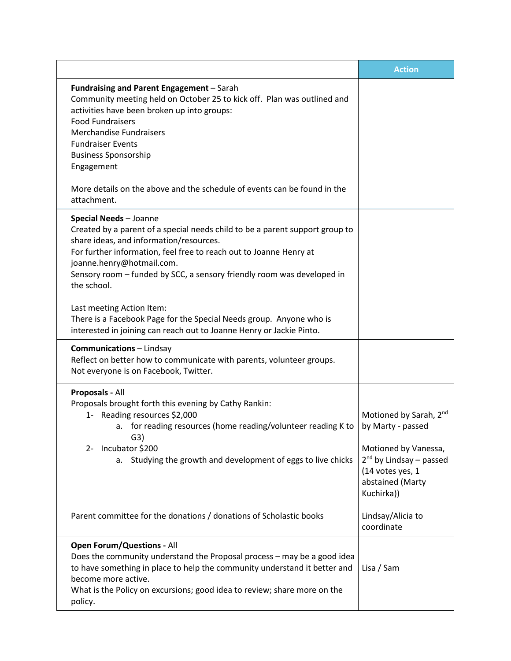|                                                                                                                                                                                                                                                                                                                                                                                                      | <b>Action</b>                                                                                                                                                    |
|------------------------------------------------------------------------------------------------------------------------------------------------------------------------------------------------------------------------------------------------------------------------------------------------------------------------------------------------------------------------------------------------------|------------------------------------------------------------------------------------------------------------------------------------------------------------------|
| Fundraising and Parent Engagement - Sarah<br>Community meeting held on October 25 to kick off. Plan was outlined and<br>activities have been broken up into groups:<br><b>Food Fundraisers</b><br><b>Merchandise Fundraisers</b><br><b>Fundraiser Events</b><br><b>Business Sponsorship</b><br>Engagement<br>More details on the above and the schedule of events can be found in the<br>attachment. |                                                                                                                                                                  |
| <b>Special Needs - Joanne</b><br>Created by a parent of a special needs child to be a parent support group to<br>share ideas, and information/resources.<br>For further information, feel free to reach out to Joanne Henry at<br>joanne.henry@hotmail.com.<br>Sensory room - funded by SCC, a sensory friendly room was developed in<br>the school.                                                 |                                                                                                                                                                  |
| Last meeting Action Item:<br>There is a Facebook Page for the Special Needs group. Anyone who is<br>interested in joining can reach out to Joanne Henry or Jackie Pinto.                                                                                                                                                                                                                             |                                                                                                                                                                  |
| <b>Communications</b> - Lindsay<br>Reflect on better how to communicate with parents, volunteer groups.<br>Not everyone is on Facebook, Twitter.                                                                                                                                                                                                                                                     |                                                                                                                                                                  |
| Proposals - All<br>Proposals brought forth this evening by Cathy Rankin:<br>1- Reading resources \$2,000<br>a. for reading resources (home reading/volunteer reading K to<br>G3)<br>Incubator \$200<br>2-<br>Studying the growth and development of eggs to live chicks<br>а.                                                                                                                        | Motioned by Sarah, 2nd<br>by Marty - passed<br>Motioned by Vanessa,<br>2 <sup>nd</sup> by Lindsay - passed<br>(14 votes yes, 1<br>abstained (Marty<br>Kuchirka)) |
| Parent committee for the donations / donations of Scholastic books                                                                                                                                                                                                                                                                                                                                   | Lindsay/Alicia to<br>coordinate                                                                                                                                  |
| <b>Open Forum/Questions - All</b><br>Does the community understand the Proposal process - may be a good idea<br>to have something in place to help the community understand it better and<br>become more active.<br>What is the Policy on excursions; good idea to review; share more on the<br>policy.                                                                                              | Lisa / Sam                                                                                                                                                       |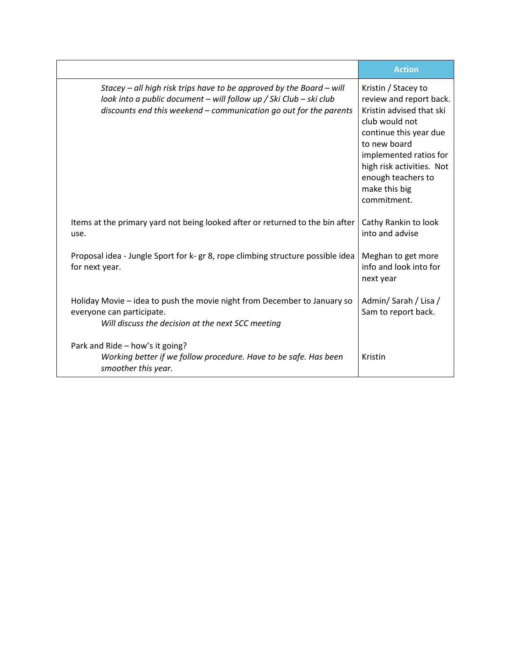|                                                                                                                                                                                                                 | <b>Action</b>                                                                                                                                                                                                                                       |
|-----------------------------------------------------------------------------------------------------------------------------------------------------------------------------------------------------------------|-----------------------------------------------------------------------------------------------------------------------------------------------------------------------------------------------------------------------------------------------------|
| Stacey – all high risk trips have to be approved by the Board – will<br>look into a public document - will follow up / Ski Club - ski club<br>discounts end this weekend - communication go out for the parents | Kristin / Stacey to<br>review and report back.<br>Kristin advised that ski<br>club would not<br>continue this year due<br>to new board<br>implemented ratios for<br>high risk activities. Not<br>enough teachers to<br>make this big<br>commitment. |
| Items at the primary yard not being looked after or returned to the bin after<br>use.                                                                                                                           | Cathy Rankin to look<br>into and advise                                                                                                                                                                                                             |
| Proposal idea - Jungle Sport for k- gr 8, rope climbing structure possible idea<br>for next year.                                                                                                               | Meghan to get more<br>info and look into for<br>next year                                                                                                                                                                                           |
| Holiday Movie – idea to push the movie night from December to January so<br>everyone can participate.<br>Will discuss the decision at the next SCC meeting                                                      | Admin/Sarah / Lisa /<br>Sam to report back.                                                                                                                                                                                                         |
| Park and Ride - how's it going?<br>Working better if we follow procedure. Have to be safe. Has been<br>smoother this year.                                                                                      | Kristin                                                                                                                                                                                                                                             |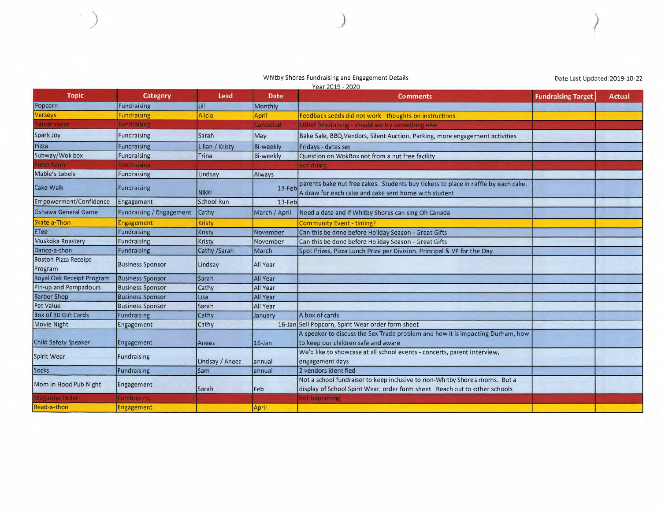## Whitby Shores Fundraising and Engagement Details and Engineer and Engineer and Engineer and Engineer and Engineer and Date Last Updated:2019-10-22<br>
Year 2019 - 2020

*I*

| <b>Topic</b>                           | Category                 | Lead            | Date             | <b>ICAL CUID - CULU</b><br><b>Comments</b>                                                                                                                | <b>Fundraising Target</b> | Actual |
|----------------------------------------|--------------------------|-----------------|------------------|-----------------------------------------------------------------------------------------------------------------------------------------------------------|---------------------------|--------|
| Popcorn                                | Fundraising              | Jill            | Monthly          |                                                                                                                                                           |                           |        |
| <b>Verseys</b>                         | <b>Fundraising</b>       | Alicia          | April            | Feedback seeds did not work - thoughts on instructions                                                                                                    |                           |        |
| Vandermeer                             | <b>Fundraising</b>       |                 | Cancelled        | Other fundraising - should we try something else                                                                                                          |                           |        |
| Spark Joy                              | Fundraising              | <b>Sarah</b>    | May              | Bake Sale, BBQ, Vendors, Silent Auction, Parking, more engagement activities                                                                              |                           |        |
| Pizza                                  | <b>Fundraising</b>       | Lilian / Kristy | <b>Bi-weekly</b> | Fridays - dates set                                                                                                                                       |                           |        |
| Subway/Wok box                         | Fundraising              | <b>Trina</b>    | <b>Bi-weekly</b> | Question on WokBox not from a nut free facility                                                                                                           |                           |        |
| resh Farm                              | <b>Fundraising</b>       |                 |                  | not doing                                                                                                                                                 |                           |        |
| Mable's Labels                         | Fundraising              | Lindsay         | Always           |                                                                                                                                                           |                           |        |
| Cake Walk                              | Fundraising              | Nikki           | 13-Feb           | parents bake nut free cakes. Students buy tickets to place in raffle by each cake.<br>A draw for each cake and cake sent home with student                |                           |        |
| Empowerment/Confidence                 | Engagement               | School Run      | 13-Feb           |                                                                                                                                                           |                           |        |
| Oshawa General Game                    | Fundraising / Engagement | Cathy           | March / April    | Need a date and if Whitby Shores can sing Oh Canada                                                                                                       |                           |        |
| Skate a-Thon                           | <b>Engagement</b>        | <b>Kristy</b>   |                  | <b>Community Event - timing?</b>                                                                                                                          |                           |        |
| <b>ETee</b>                            | Fundraising              | Kristy          | November         | Can this be done before Holiday Season - Great Gifts                                                                                                      |                           |        |
| Muskoka Roastery                       | <b>Fundraising</b>       | Kristy          | November         | Can this be done before Holiday Season - Great Gifts                                                                                                      |                           |        |
| Dance-a-thon                           | Fundraising              | Cathy /Sarah    | March            | Spot Prizes, Pizza Lunch Prize per Division. Principal & VP for the Day                                                                                   |                           |        |
| <b>Boston Pizza Receipt</b><br>Program | <b>Business Sponsor</b>  | Lindsay         | <b>All Year</b>  |                                                                                                                                                           |                           |        |
| Royal Oak Receipt Program              | <b>Business Sponsor</b>  | Sarah           | All Year         |                                                                                                                                                           |                           |        |
| Pin-up and Pompadours                  | <b>Business Sponsor</b>  | Cathy           | <b>All Year</b>  |                                                                                                                                                           |                           |        |
| <b>Barber Shop</b>                     | <b>Business Sponsor</b>  | <b>Lisa</b>     | <b>All Year</b>  |                                                                                                                                                           |                           |        |
| Pet Value                              | <b>Business Sponsor</b>  | Sarah           | All Year         |                                                                                                                                                           |                           |        |
| Box of 30 Gift Cards                   | Fundraising              | Cathy           | January          | A box of cards                                                                                                                                            |                           |        |
| Movie Night                            | Engagement               | Cathy           |                  | 16-Jan Sell Popcorn, Spirit Wear order form sheet                                                                                                         |                           |        |
| Child Safety Speaker                   | <b>Engagement</b>        | Aneez           | $16$ -Jan        | A speaker to discuss the Sex Trade problem and how it is impacting Durham, how<br>to keep our children safe and aware                                     |                           |        |
| Spirit Wear                            | Fundraising              | Lindsay / Aneez | annual           | We'd like to showcase at all school events - concerts, parent interview,<br>engagement days                                                               |                           |        |
| Socks                                  | Fundraising              | Sam             | annual           | 2 vendors identified                                                                                                                                      |                           |        |
| Mom in Hood Pub Night                  | Engagement               | Sarah           | Feb              | Not a school fundraiser to keep inclusive to non-Whitby Shores moms. But a<br>display of School Spirit Wear, order form sheet. Reach out to other schools |                           |        |
| <b>Magazine Order</b>                  | Fundraising              |                 |                  | not happening                                                                                                                                             |                           |        |
| Read-a-thon                            | Engagement               |                 | April            |                                                                                                                                                           |                           |        |

)